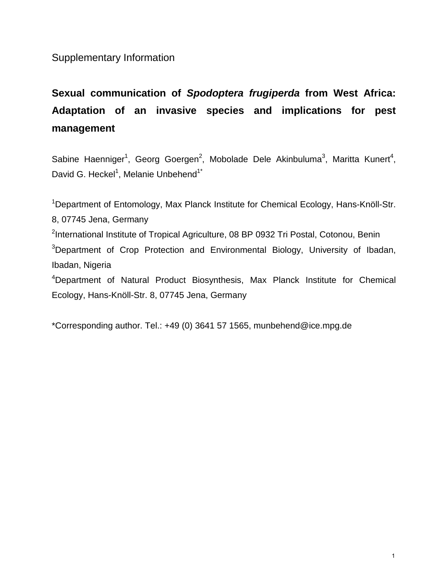Supplementary Information

## **Sexual communication of** *Spodoptera frugiperda* **from West Africa: Adaptation of an invasive species and implications for pest management**

Sabine Haenniger<sup>1</sup>, Georg Goergen<sup>2</sup>, Mobolade Dele Akinbuluma<sup>3</sup>, Maritta Kunert<sup>4</sup>, David G. Heckel<sup>1</sup>, Melanie Unbehend<sup>1\*</sup>

<sup>1</sup>Department of Entomology, Max Planck Institute for Chemical Ecology, Hans-Knöll-Str. 8, 07745 Jena, Germany <sup>2</sup>International Institute of Tropical Agriculture, 08 BP 0932 Tri Postal, Cotonou, Benin <sup>3</sup>Department of Crop Protection and Environmental Biology, University of Ibadan, Ibadan, Nigeria 4 Department of Natural Product Biosynthesis, Max Planck Institute for Chemical Ecology, Hans-Knöll-Str. 8, 07745 Jena, Germany

\*Corresponding author. Tel.: +49 (0) 3641 57 1565, munbehend@ice.mpg.de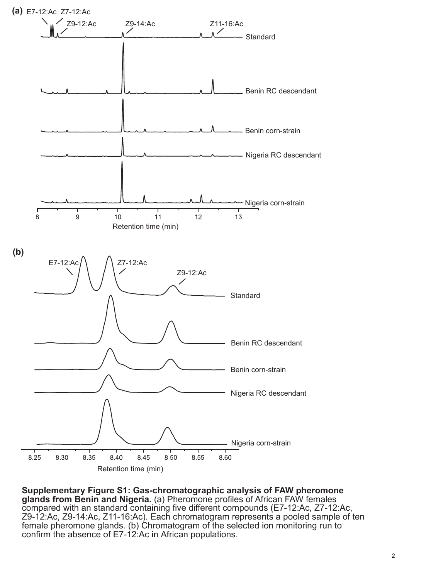

**Supplementary Figure S1: Gas-chromatographic analysis of FAW pheromone glands from Benin and Nigeria.** (a) Pheromone profiles of African FAW females compared with an standard containing five different compounds (E7-12:Ac, Z7-12:Ac, Z9-12:Ac, Z9-14:Ac, Z11-16:Ac). Each chromatogram represents a pooled sample of ten female pheromone glands. (b) Chromatogram of the selected ion monitoring run to confirm the absence of E7-12:Ac in African populations.